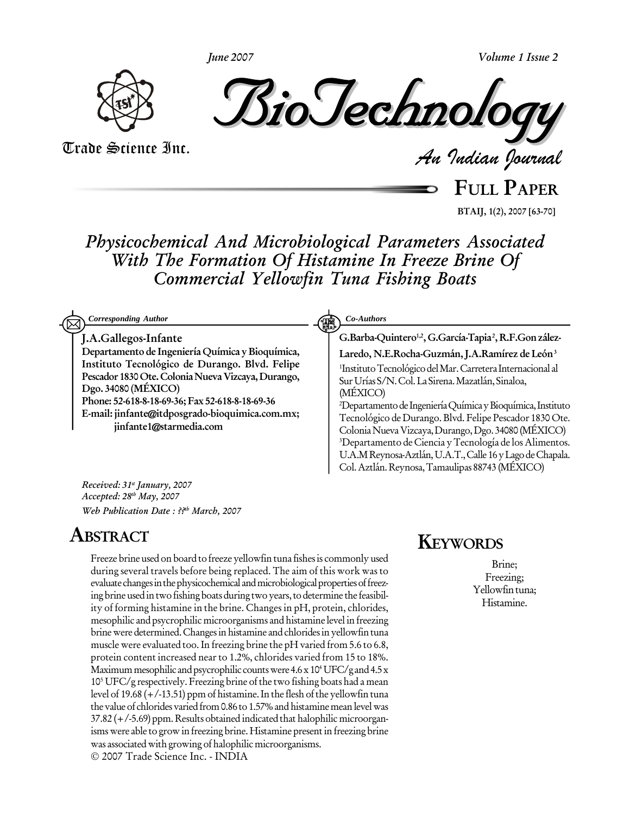**Volume 1 Issue 2**



**June 2007**

*Indian Journal*

Trade Science Inc. Trade Science Inc.

**FULL PAPER**

**BTAIJ, 1(2), 2007 [63-70]**

**Physicochemical And Microbiological Parameters Associated With The Formation Of Histamine In Freeze Brine Of Commercial Yellowfin Tuna Fishing Boats**

| <b>Corresponding Author</b>                                                                                                                                                                                                                                                                                                              | Co-Authors<br>鼲                                                                                                                                                                                                                                                                                                                                                                                                                                                                                                                                                                                                                                                             |
|------------------------------------------------------------------------------------------------------------------------------------------------------------------------------------------------------------------------------------------------------------------------------------------------------------------------------------------|-----------------------------------------------------------------------------------------------------------------------------------------------------------------------------------------------------------------------------------------------------------------------------------------------------------------------------------------------------------------------------------------------------------------------------------------------------------------------------------------------------------------------------------------------------------------------------------------------------------------------------------------------------------------------------|
| J.A.Gallegos-Infante<br>Departamento de Ingeniería Química y Bioquímica,<br>Instituto Tecnológico de Durango. Blvd. Felipe<br>Pescador 1830 Ote. Colonia Nueva Vizcaya, Durango,<br>Dgo. 34080 (MÉXICO)<br>Phone: 52-618-8-18-69-36; Fax 52-618-8-18-69-36<br>E-mail: jinfante@itdposgrado-bioquimica.com.mx;<br>jinfante1@starmedia.com | G.Barba-Quintero <sup>1,2</sup> , G.García-Tapia <sup>2</sup> , R.F.Gon zález-<br>Laredo, N.E.Rocha-Guzmán, J.A.Ramírez de León <sup>3</sup><br><sup>1</sup> Instituto Tecnológico del Mar. Carretera Internacional al<br>Sur Urías S/N. Col. La Sirena. Mazatlán, Sinaloa,<br>(MÉXICO)<br><sup>2</sup> Departamento de Ingeniería Química y Bioquímica, Instituto<br>Tecnológico de Durango. Blvd. Felipe Pescador 1830 Ote.<br>Colonia Nueva Vizcaya, Durango, Dgo. 34080 (MÉXICO)<br><sup>3</sup> Departamento de Ciencia y Tecnología de los Alimentos.<br>U.A.M Reynosa-Aztlán, U.A.T., Calle 16 y Lago de Chapala.<br>Col. Aztlán. Reynosa, Tamaulipas 88743 (MÉXICO) |
| Received: 31 <sup>st</sup> January, 2007<br>Accepted: 28 <sup>th</sup> May, 2007                                                                                                                                                                                                                                                         |                                                                                                                                                                                                                                                                                                                                                                                                                                                                                                                                                                                                                                                                             |

# **ABSTRACT**

**Web Publication Date : ?? th March, 2007**

Freeze brine used on board to freeze yellowfin tuna fishes is commonly used during several travels before being replaced. The aim of this work was to evaluate changes in the physicochemical and microbiological properties of freezing brine used in two fishing boats during two years, to determine the feasibility of forming histamine in the brine. Changes in pH, protein, chlorides, mesophilic and psycrophilic microorganisms and histamine level in freezing brine were determined. Changes in histamine and chlorides in yellowfin tuna muscle were evaluated too.In freezing brine the pH varied from 5.6 to 6.8, protein content increased nearto 1.2%, chlorides varied from 15 to 18%. Maximum mesophilic and psycrophilic counts were 4.6 x 10<sup>4</sup> UFC/g and 4.5 x 10 <sup>5</sup> UFC/g respectively. Freezing brine ofthe two fishing boats had a mean level of 19.68  $(+/-13.51)$  ppm of histamine. In the flesh of the yellowfin tuna the value of chlorides varied from 0.86 to 1.57% and histamine mean level was  $37.82$  ( $+/-5.69$ ) ppm. Results obtained indicated that halophilic microorganisms were able to grow in freezing brine. Histamine present in freezing brine was associated with growing of halophilic microorganisms. 2007 Trade Science Inc. - INDIA

# **KEYWORDS**

Brine; Freezing; Yellowfintuna; Histamine.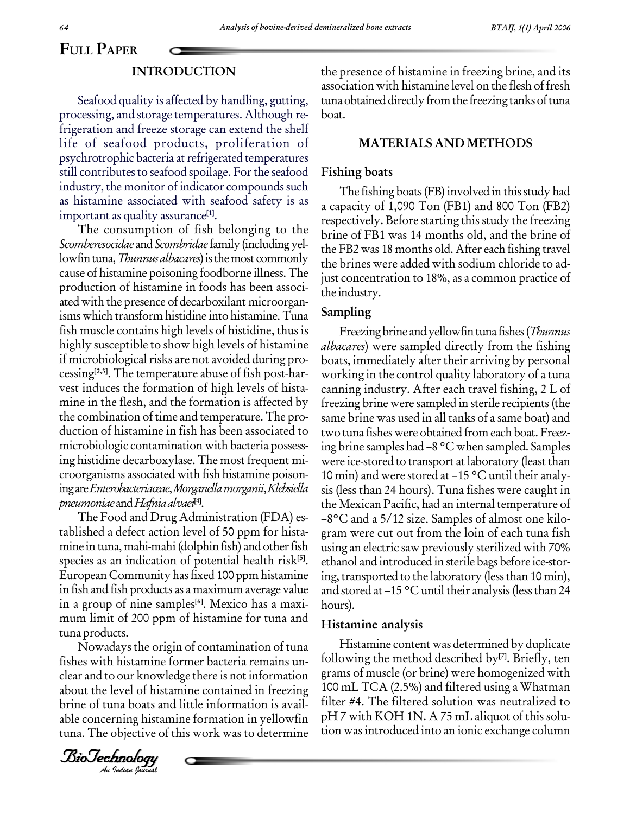### **INTRODUCTION**

Seafood quality is affected by handling, gutting, processing, and storage temperatures. Although re frigeration and freeze storage can extend the shelf life of seafood products, proliferation of psychrotrophic bacteria at refrigerated temperatures still contributes to seafood spoilage. For the seafood industry, the monitor of indicator compounds such as histamine associated with seafood safety is as important as quality assurance **[1]**.

The consumption of fish belonging to the Scomberesocidae and Scombridae family (including yellowfin tuna, *Thunnus albacares*) is the most commonly cause of histamine poisoning foodborne illness. The production of histamine in foods has been associ ated with the presence of decarboxilant microorgan isms which transform histidine into histamine. Tuna fish muscle contains high levels of histidine, thus is highly susceptible to show high levels of histamine if microbiological risks are not avoided during processing **[2,3]**. The temperature abuse of fish post-har vest induces the formation of high levels of hista mine in the flesh, and the formation is affected by the combination of time and temperature. The pro duction of histamine in fish has been associated to microbiologic contamination with bacteria possess ing histidine decarboxylase. The most frequent mi croorganisms associated with fish histamine poison ingareEnterobacteriaceae,Morganellamorganii,Klebsiella pneumoniae and Hafnia alvaei<sup>[4]</sup>.

The Food and Drug Administration (FDA) es tablished adefect action level of 50 ppm for hista mine in tuna, mahi-mahi (dolphin fish) and other fish species as an indication of potential health risk **[5]**. European Community has fixed 100 ppm histamine in fish and fish products as a maximum average value in a group of nine samples **[6]**. Mexico has a maxi mum limit of 200 ppm of histamine for tuna and tuna products.

ana products.<br>Nowadays the origin of contamination of tuna  $\mathbb{R}^{\mathbb{N}}$ about the level of histamine contained in freezing 100 m fishes with histamine former bacteria remains un clear and to our knowledge there is not information brine of tuna boats and little information is avail able concerning histamine formation in yellowfin tuna. The objective of this work was to determine

*Indian Journal*

the presence of histamine in freezing brine, and its association with histamine level on the flesh of fresh tuna obtained directly from the freezing tanks of tuna boat.

### **MATERIALS AND METHODS**

### **Fishing boats**

The fishing boats (FB) involved in this study had a capacity of 1,090 Ton (FB1) and 800 Ton (FB2) respectively. Before starting this study the freezing brine of FB1 was 14 months old, and the brine of the FB2 was 18 months old. After each fishing travel the brines were added with sodium chloride to adjust concentration to 18%, as a common practice of the industry.

### **Sampling**

Freezing brine and yellowfin tuna fishes (Thunnus albacares) were sampled directly from the fishing boats, immediately after their arriving by personal working in the control quality laboratory of a tuna canning industry. After each travel fishing, 2 L of freezing brine were sampled in sterile recipients(the same brine was used in all tanks of a same boat) and two tuna fishes were obtained from each boat. Freezing brine samples had  $-8$  °C when sampled. Samples were ice-stored to transport at laboratory (least than 10 min) and were stored at  $-15$  °C until their analysis (less than 24 hours). Tuna fishes were caught in the Mexican Pacific, had an internal temperature of  $-8$ °C and a 5/12 size. Samples of almost one kilogram were cut out from the loin of each tuna fish using an electric saw previously sterilized with 70% ethanol and introduced in sterile bags before ice-stor ing, transported to the laboratory (less than 10 min), and stored at  $-15$  °C until their analysis (less than 24 hours).

### **Histamine analysis**

Histamine content was determined by duplicate following the method described by **[7]**. Briefly, ten grams of muscle (or brine) were homogenized with 100 mL TCA (2.5%) and filtered using a Whatman filter #4. The filtered solution was neutralized to pH 7 with KOH 1N. A 75 mL aliquot of this solu tion wasintroduced into an ionic exchange column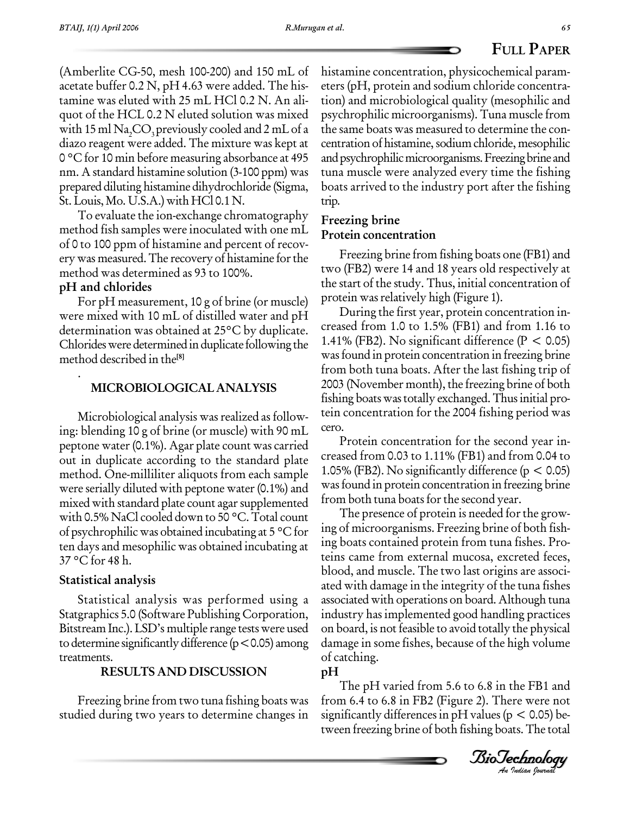(Amberlite CG-50, mesh 100-200) and 150 mL of acetate buffer 0.2 N, pH 4.63 were added. The his tamine was eluted with 25 mL HCl 0.2 N. An ali quot of the HCL 0.2 N eluted solution was mixed with 15 ml  $\text{Na}_2\text{CO}_3$  previously cooled and 2 mL of a the sa diazo reagent were added. The mixture was kept at 0 °C for 10 min before measuring absorbance at 495 nm. A standard histamine solution (3-100 ppm) was prepared diluting histamine dihydrochloride (Sigma, St. Louis, Mo. U.S.A.) with HCl 0.1 N.

To evaluate the ion-exchange chromatography method fish samples were inoculated with one mL of 0 to 100 ppm of histamine and percent of recov erywas measured.The recovery of histamine forthe method was determined as 93 to 100%.

## **pH and chlorides**

For pH measurement, 10 g of brine (or muscle) protein was relatively high (Figure 1). were mixed with 10 mL of distilled water and pH determination was obtained at 25°C by duplicate. Chlorides were determined in duplicate following the method described in the **[8]**

### . **MICROBIOLOGICAL ANALYSIS**

Microbiological analysis was realized as follow-<br>blanding 10 g of bring (or muscle) with 90 mJ cero. ing: blending 10 g of brine (or muscle) with 90 mL peptone water(0.1%). Agar plate count was carried out in duplicate according to the standard plate method. One-milliliter aliquots from each sample were serially diluted with peptone water (0.1%) and mixed with standard plate count agarsupplemented with 0.5% NaCl cooled down to 50 °C. Total count of psychrophilic was obtained incubating at 5 °C for ten days and mesophilic was obtained incubating at 37 °C for 48 h.

## **Statistical analysis**

Statistical analysis was performed using a Statgraphics 5.0 (Software Publishing Corporation, Bitstream Inc.). LSD's multiple range tests were used to determine significantly difference  $(p < 0.05)$  among treatments.

## **RESULTS AND DISCUSSION**

Freezing brine from two tuna fishing boats was studied during two years to determine changes in histamine concentration, physicochemical param eters (pH, protein and sodium chloride concentra tion) and microbiological quality (mesophilic and psychrophilic microorganisms). Tuna muscle from the same boats was measured to determine the con centration of histamine, sodium chloride, mesophilic and psychrophilic microorganisms. Freezing brine and tuna muscle were analyzed every time the fishing boats arrived to the industry port after the fishing trip.

# **Freezing brine Protein concentration**

Freezing brine from fishing boats one (FB1) and two (FB2) were 14 and 18 years old respectively at the start of the study. Thus, initial concentration of

During the first year, protein concentration increased from 1.0 to 1.5% (FB1) and from 1.16 to 1.41% (FB2). No significant difference ( $P < 0.05$ ) was found in protein concentration in freezing brine from both tuna boats. After the last fishing trip of 2003 (November month), the freezing brine of both fishing boats was totally exchanged. Thus initial protein concentration for the 2004 fishing period was

Protein concentration for the second year increased from 0.03 to 1.11% (FB1) and from 0.04 to 1.05% (FB2). No significantly difference ( $p < 0.05$ ) was found in protein concentration in freezing brine from both tuna boats for the second year.

damage in some fishes, because of the high volume The presence of protein is needed for the growing of microorganisms. Freezing brine of both fish ing boats contained protein from tuna fishes. Pro teins came from external mucosa, excreted feces, blood, and muscle. The two last origins are associ ated with damage in the integrity of the tuna fishes associated with operations on board. Although tuna industry has implemented good handling practices on board, is not feasible to avoid totally the physical of catching.

**pH**

*An*The pH varied from 5.6 to 6.8 in the FB1 and from 6.4 to 6.8 in FB2 (Figure 2). There were not significantly differences in  $pH$  values ( $p < 0.05$ ) between freezing brine of both fishing boats.The total

*Indian Journal*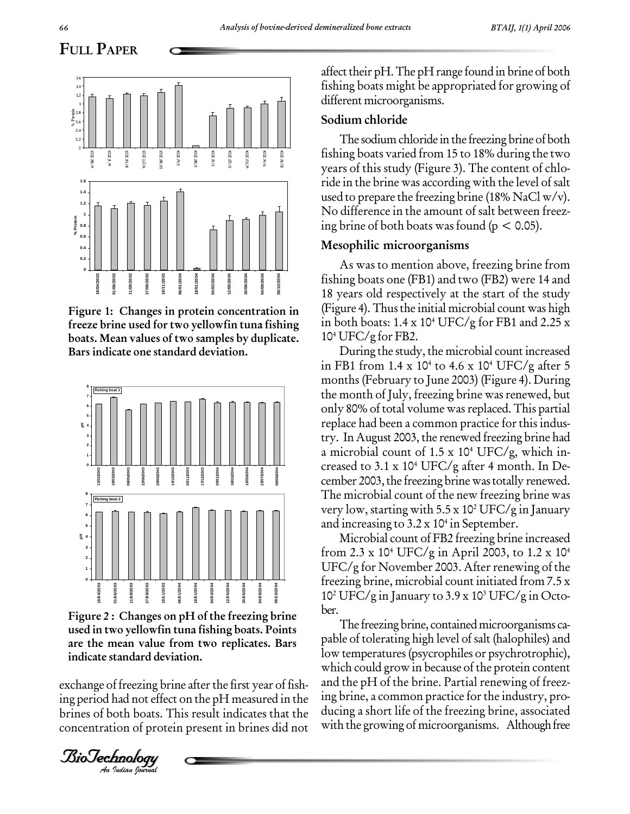**08/10/2004**

### **FULL PAPER 0 0.2 0.4 0.6 0.8 1 1.2 1.4 1.6** T **4/18/2003 6/1/2003 8/11/2003 9/27/2003 11/18/2003 1/6/2004 1/18/2004 3/4/2004 5/12/2004 6/30/2004 9/4/2004 10/8/2004 %** $\frac{2}{3}$  a.s  $\cdot$ <br> $\frac{2}{3}$  a.s  $\cdot$ **0.2 0.4 0.6 0.8 1 1.2 1.4 1.6 %Proton**<br> **Proton**<br> **Proton**<br> **Proton**<br> **Proton**

**Figure 1: Changes in protein concentration in freeze brine used for two yellowfin tuna fishing boats. Mean values of two samples by duplicate. Bars indicate one standard deviation.**



BioTechnologyBioTechnology**are the mean value from two replicates. Bars Figure** 2 **:** Changes on pH of the freezing brine ber. **used in two yellowfin tuna fishing boats. Points indicate standard deviation.**

exchange of freezing brine after the first year of fish- an *I* freezing bri<br>had not effec<br>oth boats. T<br>*Inology*<br>*Indian Iourual* ing period had not effect on the pH measured in the brines of both boats. This result indicates that the concentration of protein present in brines did not

affect their  $pH$ . The  $pH$  range found in brine of both fishing boats might be appropriated for growing of different microorganisms.

## **Sodium chloride**

The sodium chloride in the freezing brine of both fishing boats varied from 15 to 18% during the two years of this study (Figure 3).The content of chlo ride in the brine was according with the level of salt used to prepare the freezing brine (18% NaCl  $w/v$ ). No difference in the amount of salt between freez ing brine of both boats was found ( $p < 0.05$ ).

## **Mesophilic microorganisms**

As was to mention above, freezing brine from fishing boats one (FB1) and two (FB2) were 14 and 18 years old respectively at the start of the study (Figure 4). Thus the initial microbial count was high in both boats: 1.4 x 10 <sup>4</sup> UFC/g for FB1 and 2.25 x 10 <sup>4</sup> UFC/g for FB2.

During the study, the microbial count increased in FB1 from 1.4 x 10 <sup>4</sup> to 4.6 x 10 <sup>4</sup> UFC/g after 5 months (February to June 2003) (Figure 4). During the month of July, freezing brine was renewed, but only 80% of total volume was replaced. This partial replace had been a common practice forthis indus try. In August 2003, the renewed freezing brine had a microbial count of 1.5 x 10 <sup>4</sup> UFC/g, which in creased to 3.1 x 10 <sup>4</sup> UFC/g after 4 month. In De cember 2003, the freezing brine was totally renewed. The microbial count of the new freezing brine was very low, starting with 5.5 x 10<sup>2</sup> UFC/g in January and increasing to 3.2 x 10 4 in September.

Microbial count of FB2 freezing brine increased from 2.3 x 10 <sup>4</sup> UFC/g in April 2003, to 1.2 x 10 4  $UFC/g$  for November 2003. After renewing of the freezing brine, microbial count initiated from 7.5 x 10 <sup>2</sup> UFC/g in January to 3.9 x 10 <sup>3</sup> UFC/g in Octo-

The freezing brine, contained microorganisms capable of tolerating high level of salt (halophiles) and low temperatures(psycrophiles or psychrotrophic), which could grow in because of the protein content and the pH of the brine. Partial renewing of freez ing brine, a common practice for the industry, producing a short life of the freezing brine, associated with the growing of microorganisms. Although free

**0**

**18/04/2003**

**01/06/2003 11/08/2003 27/09/2003 18/11/2003 06/01/2004 18/01/2004 04/03/2004 12/05/2004 30/06/2004 04/09/2004**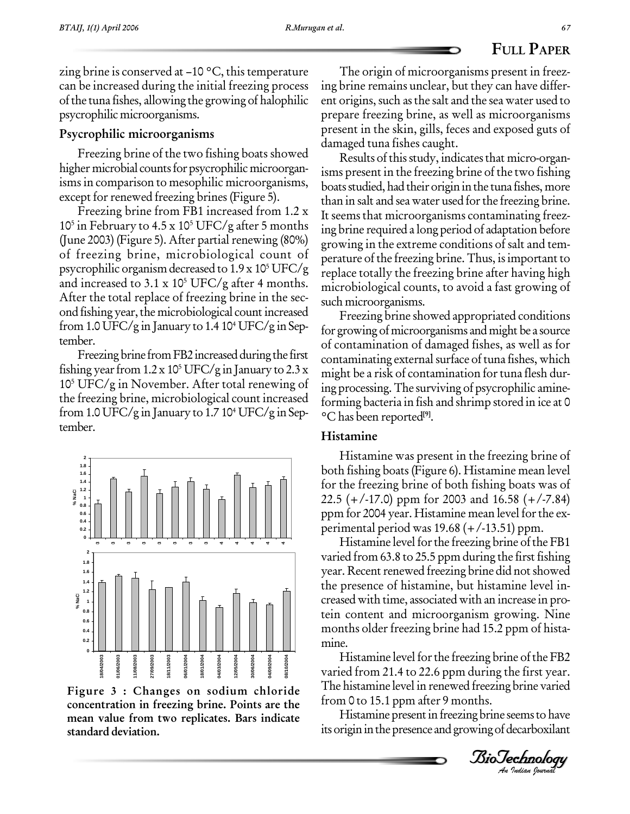zing brine is conserved at  $-10$  °C, this temperature can be increased during the initial freezing process ofthe tuna fishes, allowing the growing of halophilic psycrophilicmicroorganisms.

## **Psycrophilic microorganisms**

Freezing brine of the two fishing boats showed higher microbial counts for psycrophilic microorganisms in comparison to mesophilic microorganisms,

except for renewed freezing brines (Figure 5).<br>Freezing brine from FB1 increased from 1.2 x 10<sup>5</sup> in February to 4.5 x 10<sup>5</sup> UFC/g after 5 months  $_{\text{ine}}$ (June 2003) (Figure 5). After partial renewing  $(80\%)$ of freezing brine, microbiological count of psycrophilic organism decreased to 1.9 x 10<sup>5</sup> UFC/g  $\frac{1}{\text{renlac}}$ and increased to 3.1 x 10<sup>5</sup> UFC/g after 4 months.  $\frac{1}{2}$ After the total replace of freezing brine in the sec ond fishing year, the microbiological count increased from 1.0 UFC/g in January to 1.4 10<sup>4</sup> UFC/g in Sep-  $_{\rm fo}$ tember.

Freezingbrine from FB2 increased during the first fishing year from 1.2 x 10<sup>5</sup> UFC/g in January to 2.3 x  $_{\rm{mioht}}$ 10<sup>5</sup> UFC/g in November. After total renewing of  $\frac{1}{100}$ the freezing brine, microbiological count increased from 1.0 UFC/g in January to 1.7 10 <sup>4</sup> UFC/g inSep tember.



**Figure 3 : Changes on sodium chloride concentration in freezing brine. Points are the mean value from two replicates. Bars indicate standard deviation.**

The origin of microorganisms present in freez ing brine remains unclear, but they can have differ ent origins, such as the salt and the sea water used to prepare freezing brine, as well as microorganisms present in the skin, gills, feces and exposed guts of damaged tuna fishes caught.

Results of this study, indicates that micro-organisms present in the freezing brine of the two fishing boats studied, had their origin in the tuna fishes, more than in salt and sea water used for the freezing brine. It seems that microorganisms contaminating freez ing brine required a long period of adaptation before growing in the extreme conditions of salt and tem perature of the freezing brine.Thus, isimportant to replace totally the freezing brine after having high microbiological counts, to avoid afast growing of such microorganisms.

Freezing brine showed appropriated conditions for growing of microorganisms and might be a source of contamination of damaged fishes, as well as for contaminating external surface of tuna fishes, which might be a risk of contamination for tuna flesh during processing.The surviving of psycrophilic amine forming bacteria in fish and shrimp stored in ice at 0 °C has been reported **[9]**.

## **Histamine**

Histamine was present in the freezing brine of both fishing boats (Figure 6). Histamine mean level for the freezing brine of both fishing boats was of 22.5 (+/-17.0) ppm for 2003 and 16.58 (+/-7.84) ppm for 2004 year. Histamine mean level forthe ex perimental period was 19.68 (+/-13.51) ppm.

 $\begin{bmatrix} 11 \\ 21 \end{bmatrix}$ Histamine level for the freezing brine of the FB1 varied from 63.8 to 25.5 ppm during the first fishing year. Recent renewed freezing brine did not showed the presence of histamine, but histamine level in creased with time, associated with an increase in protein content and microorganism growing. Nine months older freezing brine had 15.2 ppm of histamine.

*An*The histamine level in renewed freezing brine varied Histamine level for the freezing brine of the FB2 varied from 21.4 to 22.6 ppm during the first year. from 0 to 15.1 ppm after 9 months.

Histamine present in freezing brine seems to have its origin in the presence and growing of decarboxilant

*Indian Journal*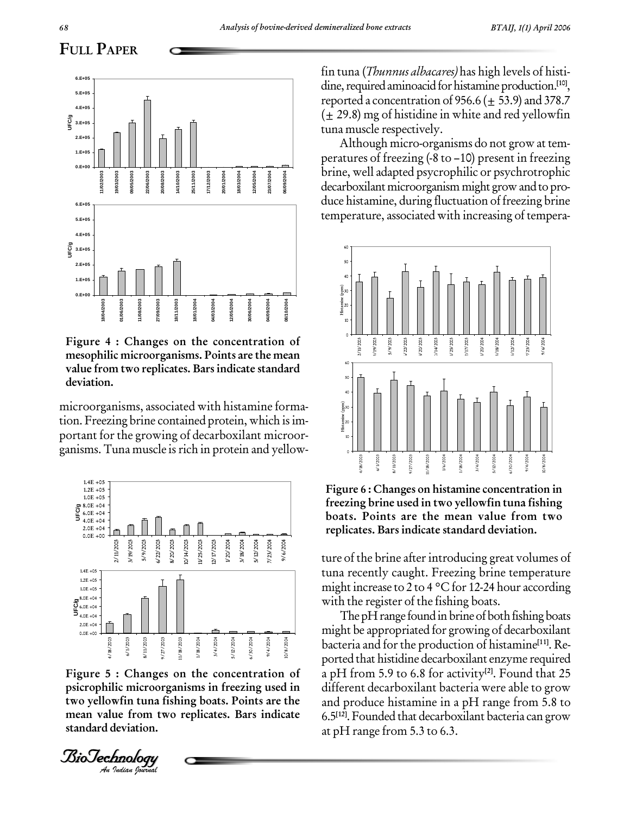

**Figure 4 : Changes on the concentration of mesophilic microorganisms. Points are the mean value from two replicates. Bars indicate standard deviation.**

microorganisms, associated with histamine forma tion. Freezing brine contained protein, which isim portant for the growing of decarboxilant microorganisms. Tuna muscle is rich in protein and yellow-



psicrophilic microorganisms in freezing used in<br>
two yellowfin tuna fishing boats. Points are the<br>
mean value from two replicates. Bars indicate<br>
6.5<sup>[12]</sup>,<br>
standard deviation.<br>
at pH<br> *BioJechnology* **Figure 5 : Changes on the concentration of two yellowfin tuna fishing boats. Points are the mean value from two replicates. Bars indicate standard deviation.**



fin tuna (Thunnus albacares) has high levels of histi dine, required aminoacid for histamine production.<sup>[10]</sup>, reported a concentration of 956.6 ( $\pm$  53.9) and 378.7  $(\pm 29.8)$  mg of histidine in white and red yellowfin tuna muscle respectively.

Although micro-organisms do not grow at tem peratures of freezing  $(-8 \text{ to } -10)$  present in freezing brine, well adapted psycrophilic or psychrotrophic decarboxilant microorganism might grow and to produce histamine, during fluctuation of freezing brine temperature, associated with increasing of tempera-



**Figure 6 : Changes on histamine concentration in freezing brine used in two yellowfin tuna fishing boats. Points are the mean value from two replicates. Bars indicate standard deviation.**

ture of the brine after introducing great volumes of tuna recently caught. Freezing brine temperature might increase to 2 to 4  $\degree$ C for 12-24 hour according with the register of the fishing boats.

The pH range found in brine of both fishing boats might be appropriated for growing of decarboxilant bacteria and forthe production of histamine **[11]**. Re ported that histidine decarboxilant enzyme required a pH from 5.9 to 6.8 for activity **[2]**. Found that 25 different decarboxilant bacteria were able to grow and produce histamine in a pH range from 5.8 to 6.5 **[12]**. Founded that decarboxilant bacteria can grow at pH range from 5.3 to 6.3.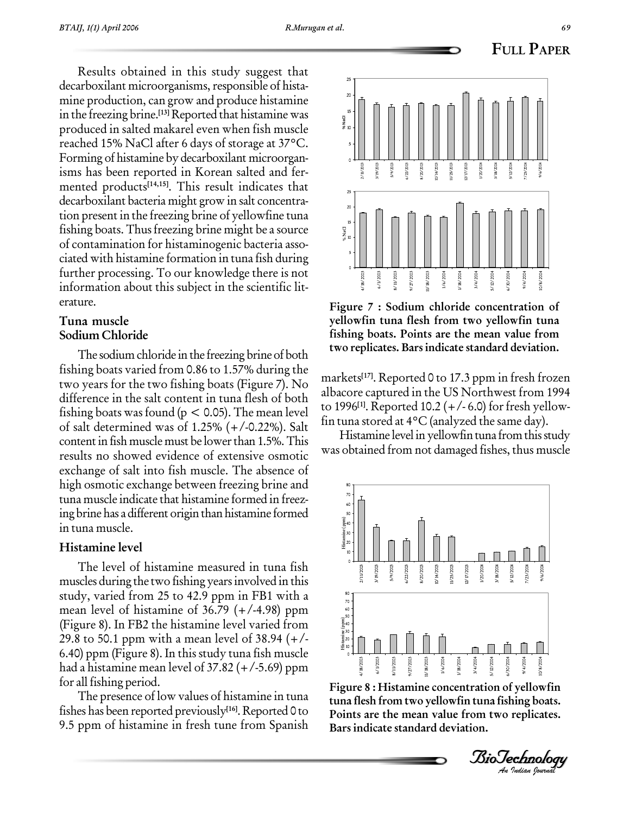**20 25**

Results obtained in this study suggest that decarboxilant microorganisms, responsible of histamine production, can grow and produce histamine in the freezing brine. **[13]** Reported that histamine was produced in salted makarel even when fish muscle reached 15% NaCl after 6 days of storage at 37°C. Forming of histamine by decarboxilant microorgan isms has been reported in Korean salted and fer mented products **[14,15]**. This result indicates that decarboxilant bacteria might grow in salt concentra tion present in the freezing brine of yellowfine tuna fishing boats. Thus freezing brine might be a source  $\frac{1}{2}$ of contamination for histaminogenic bacteria asso ciated with histamine formation in tuna fish during further processing. To our knowledge there is not information about this subject in the scientific lit erature.

## **Tuna muscle Sodium Chloride**

The sodium chloride in the freezing brine of both fishing boats varied from 0.86 to 1.57% during the two years for the two fishing boats (Figure 7).No difference in the salt content in tuna flesh of both fishing boats was found ( $p < 0.05$ ). The mean level of salt determined was of 1.25% (+/-0.22%). Salt contentin fish musclemust be lowerthan 1.5%.This results no showed evidence of extensive osmotic exchange of salt into fish muscle. The absence of high osmotic exchange between freezing brine and tuna muscle indicate that histamine formed in freez ing brine has a different origin than histamine formed in tuna muscle.

## **Histamine level**

The level of histamine measured in tuna fish muscles during the two fishing years involved in this study, varied from 25 to 42.9 ppm in FB1 with a mean level of histamine of  $36.79$  ( $+/-4.98$ ) ppm (Figure 8). In FB2 the histamine level varied from 29.8 to 50.1 ppm with a mean level of 38.94 (+/- 6.40) ppm (Figure 8).In this study tuna fish muscle had a histamine mean level of  $37.82 (+/-5.69)$  ppm for all fishing period.

The presence of low values of histamine in tuna fishes has been reported previously **[16]**. Reported 0 to 9.5 ppm of histamine in fresh tune from Spanish



**Figure 7 : Sodium chloride concentration of yellowfin tuna flesh from two yellowfin tuna fishing boats. Points are the mean value from two replicates. Bars indicate standard deviation.**

markets **[17]**. Reported 0 to 17.3 ppm in fresh frozen albacore captured in the US Northwest from 1994 to 1996 **[1]**. Reported 10.2 (+/- 6.0) forfresh yellow fin tuna stored at 4°C (analyzed the same day).

Histamine level in yellowfin tuna from this study was obtained from not damaged fishes, thus muscle



*An***Figure 8 :Histamine concentration of yellowfin tuna flesh from two yellowfin tuna fishing boats. Points are the mean value from two replicates. Bars indicate standard deviation.**

**FULL PAPER**